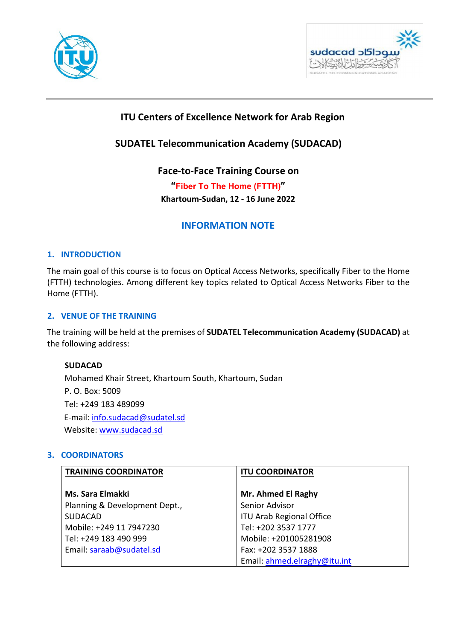



# **ITU Centers of Excellence Network for Arab Region**

# **SUDATEL Telecommunication Academy (SUDACAD)**

**Face-to-Face Training Course on** 

**"Fiber To The Home (FTTH)" Khartoum-Sudan, 12 - 16 June 2022**

# **INFORMATION NOTE**

## **1. INTRODUCTION**

The main goal of this course is to focus on Optical Access Networks, specifically Fiber to the Home (FTTH) technologies. Among different key topics related to Optical Access Networks Fiber to the Home (FTTH).

## **2. VENUE OF THE TRAINING**

The training will be held at the premises of **SUDATEL Telecommunication Academy (SUDACAD)** at the following address:

## **SUDACAD**

Mohamed Khair Street, Khartoum South, Khartoum, Sudan P. O. Box: 5009 Tel: +249 183 489099 E-mail: info.sudacad@sudatel.sd Website: [www.sudacad.sd](http://www.sudacad.sd/) 

## **3. COORDINATORS**

| <b>TRAINING COORDINATOR</b>   | <b>ITU COORDINATOR</b>          |
|-------------------------------|---------------------------------|
|                               |                                 |
| Ms. Sara Elmakki              | Mr. Ahmed El Raghy              |
| Planning & Development Dept., | Senior Advisor                  |
| <b>SUDACAD</b>                | <b>ITU Arab Regional Office</b> |
| Mobile: +249 11 7947230       | Tel: +202 3537 1777             |
| Tel: +249 183 490 999         | Mobile: +201005281908           |
| Email: saraab@sudatel.sd      | Fax: +202 3537 1888             |
|                               | Email: ahmed.elraghy@itu.int    |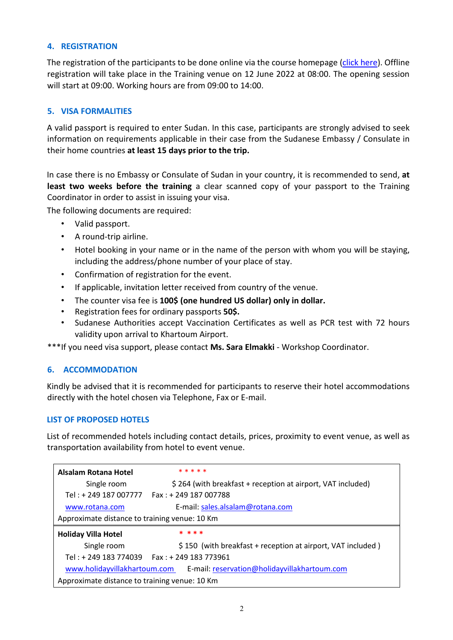## **4. REGISTRATION**

The registration of the participants to be done online via the course homepage [\(click here\)](https://academy.itu.int/training-courses/full-catalogue/fiber-home-ftth-1). Offline registration will take place in the Training venue on 12 June 2022 at 08:00. The opening session will start at 09:00. Working hours are from 09:00 to 14:00.

# **5. VISA FORMALITIES**

A valid passport is required to enter Sudan. In this case, participants are strongly advised to seek information on requirements applicable in their case from the Sudanese Embassy / Consulate in their home countries **at least 15 days prior to the trip.**

In case there is no Embassy or Consulate of Sudan in your country, it is recommended to send, **at**  least two weeks before the training a clear scanned copy of your passport to the Training Coordinator in order to assist in issuing your visa.

The following documents are required:

- Valid passport.
- A round-trip airline.
- Hotel booking in your name or in the name of the person with whom you will be staying, including the address/phone number of your place of stay.
- Confirmation of registration for the event.
- If applicable, invitation letter received from country of the venue.
- The counter visa fee is **100\$ (one hundred US dollar) only in dollar.**
- Registration fees for ordinary passports **50\$.**
- Sudanese Authorities accept Vaccination Certificates as well as PCR test with 72 hours validity upon arrival to Khartoum Airport.

\*\*\*If you need visa support, please contact **Ms. Sara Elmakki** - Workshop Coordinator.

## **6. ACCOMMODATION**

Kindly be advised that it is recommended for participants to reserve their hotel accommodations directly with the hotel chosen via Telephone, Fax or E-mail.

## **LIST OF PROPOSED HOTELS**

List of recommended hotels including contact details, prices, proximity to event venue, as well as transportation availability from hotel to event venue.

| Alsalam Rotana Hotel                          | * * * * *                                                                 |  |
|-----------------------------------------------|---------------------------------------------------------------------------|--|
| Single room                                   | \$264 (with breakfast + reception at airport, VAT included)               |  |
|                                               | Tel: + 249 187 007777    Fax: + 249 187 007788                            |  |
| www.rotana.com                                | E-mail: sales.alsalam@rotana.com                                          |  |
| Approximate distance to training venue: 10 Km |                                                                           |  |
|                                               |                                                                           |  |
| <b>Holiday Villa Hotel</b>                    | * * * *                                                                   |  |
| Single room                                   | \$150 (with breakfast + reception at airport, VAT included)               |  |
|                                               | Tel: + 249 183 774039    Fax: + 249 183 773961                            |  |
|                                               | www.holidayvillakhartoum.com E-mail: reservation@holidayvillakhartoum.com |  |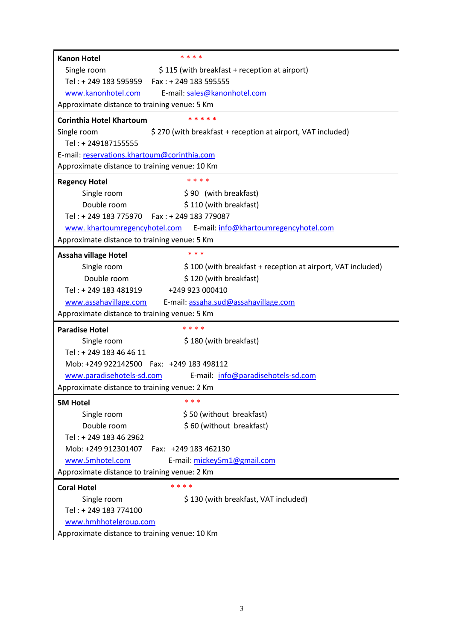| Single room<br>\$115 (with breakfast + reception at airport)<br>Tel: + 249 183 595959    Fax: + 249 183 595555 |  |  |
|----------------------------------------------------------------------------------------------------------------|--|--|
|                                                                                                                |  |  |
|                                                                                                                |  |  |
| www.kanonhotel.com<br>E-mail: sales@kanonhotel.com                                                             |  |  |
| Approximate distance to training venue: 5 Km                                                                   |  |  |
| * * * * *<br><b>Corinthia Hotel Khartoum</b>                                                                   |  |  |
| \$270 (with breakfast + reception at airport, VAT included)<br>Single room                                     |  |  |
| Tel: +249187155555                                                                                             |  |  |
| E-mail: reservations.khartoum@corinthia.com                                                                    |  |  |
| Approximate distance to training venue: 10 Km                                                                  |  |  |
| * * * *<br><b>Regency Hotel</b>                                                                                |  |  |
| Single room<br>\$90 (with breakfast)                                                                           |  |  |
| Double room<br>\$110 (with breakfast)                                                                          |  |  |
| Tel: + 249 183 775970    Fax: + 249 183 779087                                                                 |  |  |
| www.khartoumregencyhotel.com E-mail: info@khartoumregencyhotel.com                                             |  |  |
| Approximate distance to training venue: 5 Km                                                                   |  |  |
| * * *<br>Assaha village Hotel                                                                                  |  |  |
| Single room<br>\$100 (with breakfast + reception at airport, VAT included)                                     |  |  |
| Double room<br>\$120 (with breakfast)                                                                          |  |  |
| Tel: + 249 183 481919 +249 923 000410                                                                          |  |  |
| www.assahavillage.com E-mail: assaha.sud@assahavillage.com                                                     |  |  |
| Approximate distance to training venue: 5 Km                                                                   |  |  |
| * * * *<br><b>Paradise Hotel</b>                                                                               |  |  |
| Single room<br>\$180 (with breakfast)                                                                          |  |  |
| Tel: +249 183 46 46 11                                                                                         |  |  |
| Mob: +249 922142500   Fax: +249 183 498112                                                                     |  |  |
| www.paradisehotels-sd.com E-mail: info@paradisehotels-sd.com                                                   |  |  |
| Approximate distance to training venue: 2 Km                                                                   |  |  |
| * * *<br><b>5M Hotel</b>                                                                                       |  |  |
| \$50 (without breakfast)<br>Single room                                                                        |  |  |
| Double room<br>\$60 (without breakfast)                                                                        |  |  |
| Tel: + 249 183 46 2962                                                                                         |  |  |
| Mob: +249 912301407<br>Fax: +249 183 462130                                                                    |  |  |
| www.5mhotel.com<br>E-mail: mickey5m1@gmail.com                                                                 |  |  |
| Approximate distance to training venue: 2 Km                                                                   |  |  |
| * * * *<br><b>Coral Hotel</b>                                                                                  |  |  |
| Single room<br>\$130 (with breakfast, VAT included)                                                            |  |  |
| Tel: +249 183 774100                                                                                           |  |  |
| www.hmhhotelgroup.com                                                                                          |  |  |
| Approximate distance to training venue: 10 Km                                                                  |  |  |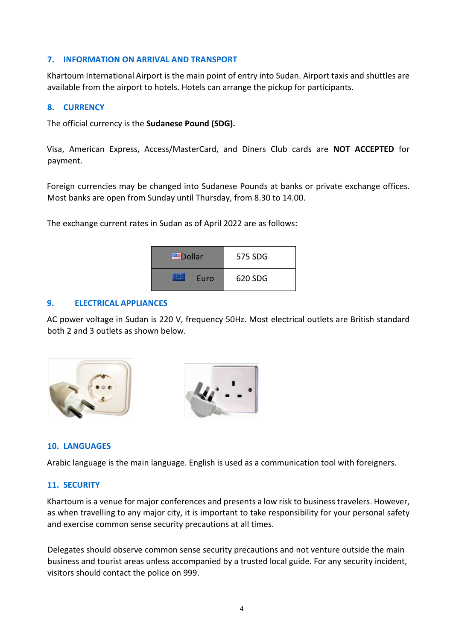## **7. INFORMATION ON ARRIVAL AND TRANSPORT**

Khartoum International Airport is the main point of entry into Sudan. Airport taxis and shuttles are available from the airport to hotels. Hotels can arrange the pickup for participants.

#### **8. CURRENCY**

The official currency is the **Sudanese Pound (SDG).** 

Visa, American Express, Access/MasterCard, and Diners Club cards are **NOT ACCEPTED** for payment.

Foreign currencies may be changed into Sudanese Pounds at banks or private exchange offices. Most banks are open from Sunday until Thursday, from 8.30 to 14.00.

The exchange current rates in Sudan as of April 2022 are as follows:

| <del>≝</del> Dollar | 575 SDG |
|---------------------|---------|
| Euro                | 620 SDG |

#### **9. ELECTRICAL APPLIANCES**

AC power voltage in Sudan is 220 V, frequency 50Hz. Most electrical outlets are British standard both 2 and 3 outlets as shown below.



## **10. LANGUAGES**

Arabic language is the main language. English is used as a communication tool with foreigners.

#### **11. SECURITY**

Khartoum is a venue for major conferences and presents a low risk to business travelers. However, as when travelling to any major city, it is important to take responsibility for your personal safety and exercise common sense security precautions at all times.

Delegates should observe common sense security precautions and not venture outside the main business and tourist areas unless accompanied by a trusted local guide. For any security incident, visitors should contact the police on 999.